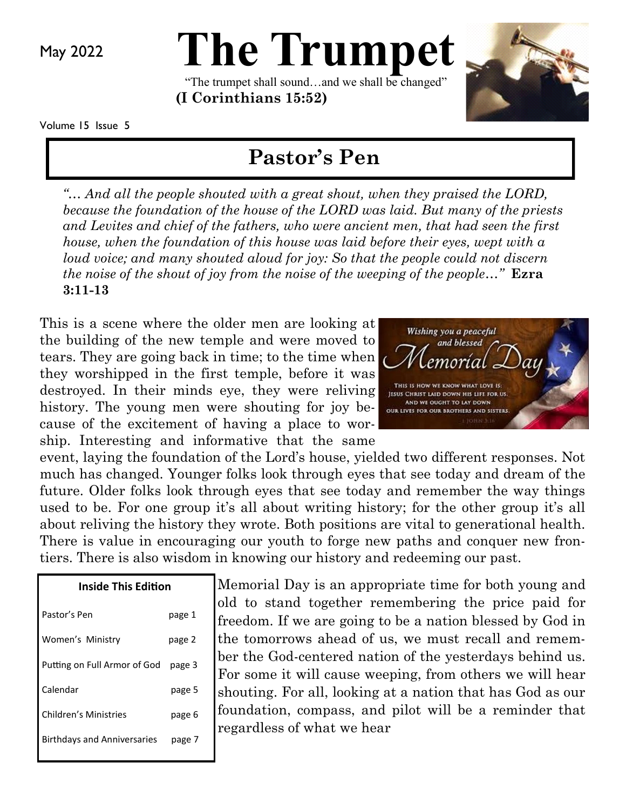May 2022

# **The Trumpet**

"The trumpet shall sound…and we shall be changed" **(I Corinthians 15:52)** 



Volume 15 Issue 5

## **Pastor's Pen**

*"… And all the people shouted with a great shout, when they praised the LORD, because the foundation of the house of the LORD was laid. But many of the priests and Levites and chief of the fathers, who were ancient men, that had seen the first house, when the foundation of this house was laid before their eyes, wept with a loud voice; and many shouted aloud for joy: So that the people could not discern the noise of the shout of joy from the noise of the weeping of the people…"* **Ezra 3:11-13**

This is a scene where the older men are looking at the building of the new temple and were moved to tears. They are going back in time; to the time when they worshipped in the first temple, before it was destroyed. In their minds eye, they were reliving history. The young men were shouting for joy because of the excitement of having a place to worship. Interesting and informative that the same



event, laying the foundation of the Lord's house, yielded two different responses. Not much has changed. Younger folks look through eyes that see today and dream of the future. Older folks look through eyes that see today and remember the way things used to be. For one group it's all about writing history; for the other group it's all about reliving the history they wrote. Both positions are vital to generational health. There is value in encouraging our youth to forge new paths and conquer new frontiers. There is also wisdom in knowing our history and redeeming our past.

| <b>Inside This Edition</b>         |        |
|------------------------------------|--------|
| Pastor's Pen                       | page 1 |
| Women's Ministry                   | page 2 |
| Putting on Full Armor of God       | page 3 |
| Calendar                           | page 5 |
| Children's Ministries              | page 6 |
| <b>Birthdays and Anniversaries</b> | page 7 |
|                                    |        |

Memorial Day is an appropriate time for both young and old to stand together remembering the price paid for freedom. If we are going to be a nation blessed by God in the tomorrows ahead of us, we must recall and remember the God-centered nation of the yesterdays behind us. For some it will cause weeping, from others we will hear shouting. For all, looking at a nation that has God as our foundation, compass, and pilot will be a reminder that regardless of what we hear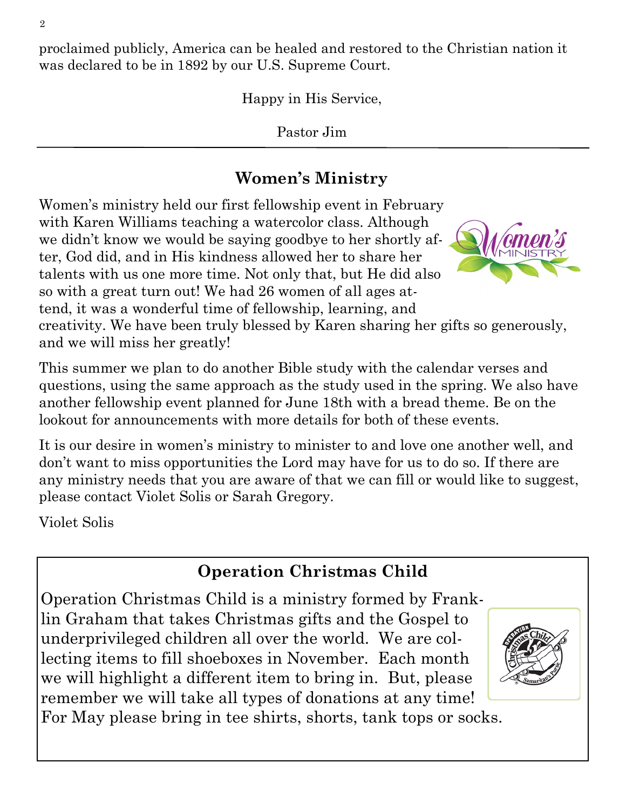proclaimed publicly, America can be healed and restored to the Christian nation it was declared to be in 1892 by our U.S. Supreme Court.

Happy in His Service,

Pastor Jim

## **Women's Ministry**

Women's ministry held our first fellowship event in February with Karen Williams teaching a watercolor class. Although we didn't know we would be saying goodbye to her shortly after, God did, and in His kindness allowed her to share her talents with us one more time. Not only that, but He did also so with a great turn out! We had 26 women of all ages attend, it was a wonderful time of fellowship, learning, and creativity. We have been truly blessed by Karen sharing her gifts so generously,

and we will miss her greatly!

This summer we plan to do another Bible study with the calendar verses and questions, using the same approach as the study used in the spring. We also have another fellowship event planned for June 18th with a bread theme. Be on the lookout for announcements with more details for both of these events.

It is our desire in women's ministry to minister to and love one another well, and don't want to miss opportunities the Lord may have for us to do so. If there are any ministry needs that you are aware of that we can fill or would like to suggest, please contact Violet Solis or Sarah Gregory.

Violet Solis

## **Operation Christmas Child**

Operation Christmas Child is a ministry formed by Franklin Graham that takes Christmas gifts and the Gospel to underprivileged children all over the world. We are collecting items to fill shoeboxes in November. Each month we will highlight a different item to bring in. But, please remember we will take all types of donations at any time!





For May please bring in tee shirts, shorts, tank tops or socks.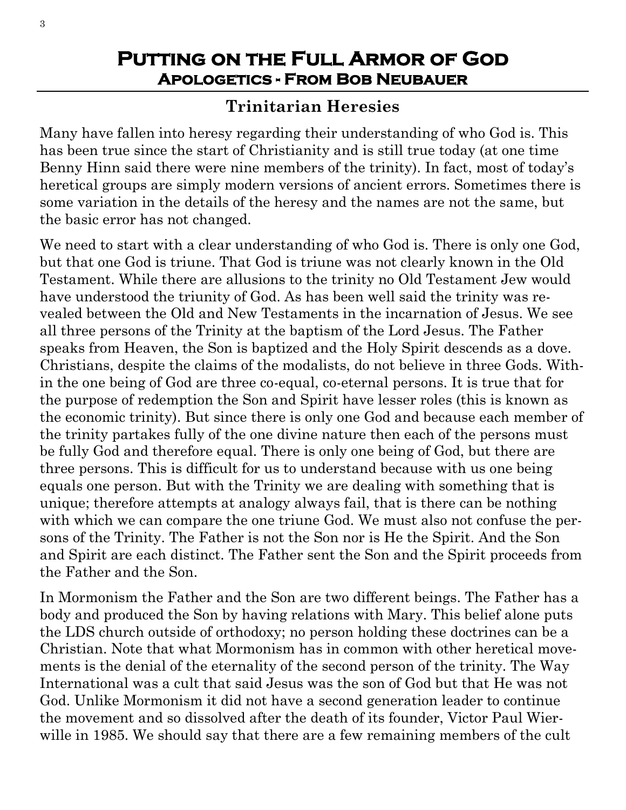#### **Putting on the Full Armor of God Apologetics - From Bob Neubauer**

#### **Trinitarian Heresies**

Many have fallen into heresy regarding their understanding of who God is. This has been true since the start of Christianity and is still true today (at one time Benny Hinn said there were nine members of the trinity). In fact, most of today's heretical groups are simply modern versions of ancient errors. Sometimes there is some variation in the details of the heresy and the names are not the same, but the basic error has not changed.

We need to start with a clear understanding of who God is. There is only one God, but that one God is triune. That God is triune was not clearly known in the Old Testament. While there are allusions to the trinity no Old Testament Jew would have understood the triunity of God. As has been well said the trinity was revealed between the Old and New Testaments in the incarnation of Jesus. We see all three persons of the Trinity at the baptism of the Lord Jesus. The Father speaks from Heaven, the Son is baptized and the Holy Spirit descends as a dove. Christians, despite the claims of the modalists, do not believe in three Gods. Within the one being of God are three co-equal, co-eternal persons. It is true that for the purpose of redemption the Son and Spirit have lesser roles (this is known as the economic trinity). But since there is only one God and because each member of the trinity partakes fully of the one divine nature then each of the persons must be fully God and therefore equal. There is only one being of God, but there are three persons. This is difficult for us to understand because with us one being equals one person. But with the Trinity we are dealing with something that is unique; therefore attempts at analogy always fail, that is there can be nothing with which we can compare the one triune God. We must also not confuse the persons of the Trinity. The Father is not the Son nor is He the Spirit. And the Son and Spirit are each distinct. The Father sent the Son and the Spirit proceeds from the Father and the Son.

In Mormonism the Father and the Son are two different beings. The Father has a body and produced the Son by having relations with Mary. This belief alone puts the LDS church outside of orthodoxy; no person holding these doctrines can be a Christian. Note that what Mormonism has in common with other heretical movements is the denial of the eternality of the second person of the trinity. The Way International was a cult that said Jesus was the son of God but that He was not God. Unlike Mormonism it did not have a second generation leader to continue the movement and so dissolved after the death of its founder, Victor Paul Wierwille in 1985. We should say that there are a few remaining members of the cult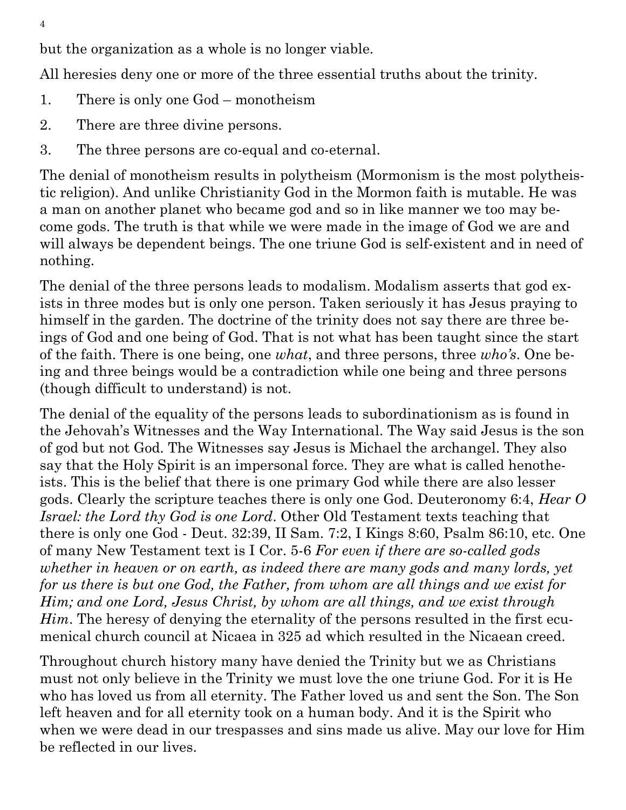but the organization as a whole is no longer viable.

All heresies deny one or more of the three essential truths about the trinity.

- 1. There is only one God monotheism
- 2. There are three divine persons.
- 3. The three persons are co-equal and co-eternal.

The denial of monotheism results in polytheism (Mormonism is the most polytheistic religion). And unlike Christianity God in the Mormon faith is mutable. He was a man on another planet who became god and so in like manner we too may become gods. The truth is that while we were made in the image of God we are and will always be dependent beings. The one triune God is self-existent and in need of nothing.

The denial of the three persons leads to modalism. Modalism asserts that god exists in three modes but is only one person. Taken seriously it has Jesus praying to himself in the garden. The doctrine of the trinity does not say there are three beings of God and one being of God. That is not what has been taught since the start of the faith. There is one being, one *what*, and three persons, three *who's*. One being and three beings would be a contradiction while one being and three persons (though difficult to understand) is not.

The denial of the equality of the persons leads to subordinationism as is found in the Jehovah's Witnesses and the Way International. The Way said Jesus is the son of god but not God. The Witnesses say Jesus is Michael the archangel. They also say that the Holy Spirit is an impersonal force. They are what is called henotheists. This is the belief that there is one primary God while there are also lesser gods. Clearly the scripture teaches there is only one God. Deuteronomy 6:4, *Hear O Israel: the Lord thy God is one Lord*. Other Old Testament texts teaching that there is only one God - Deut. 32:39, II Sam. 7:2, I Kings 8:60, Psalm 86:10, etc. One of many New Testament text is I Cor. 5-6 *For even if there are so-called gods whether in heaven or on earth, as indeed there are many gods and many lords, yet for us there is but one God, the Father, from whom are all things and we exist for Him; and one Lord, Jesus Christ, by whom are all things, and we exist through Him*. The heresy of denying the eternality of the persons resulted in the first ecumenical church council at Nicaea in 325 ad which resulted in the Nicaean creed.

Throughout church history many have denied the Trinity but we as Christians must not only believe in the Trinity we must love the one triune God. For it is He who has loved us from all eternity. The Father loved us and sent the Son. The Son left heaven and for all eternity took on a human body. And it is the Spirit who when we were dead in our trespasses and sins made us alive. May our love for Him be reflected in our lives.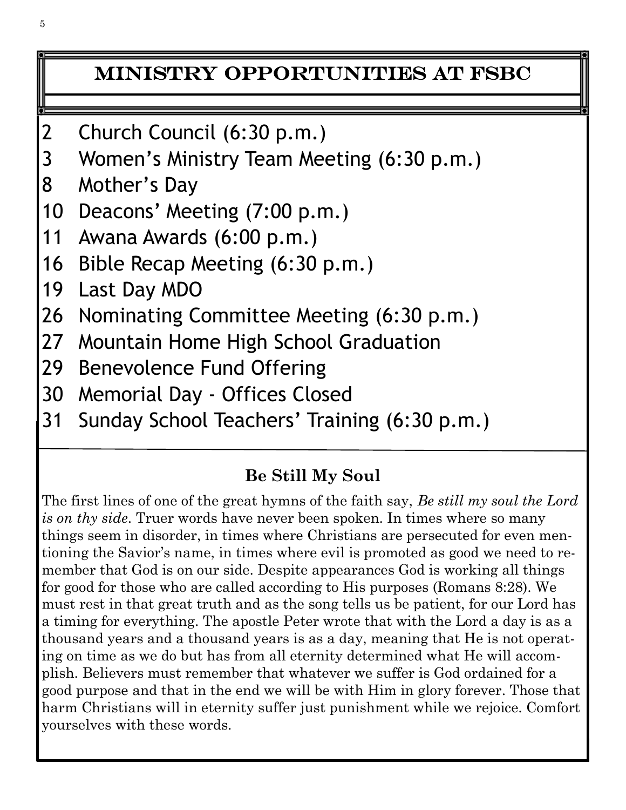## Ministry Opportunities at FSBC

- 2 Church Council (6:30 p.m.)
- 3 Women's Ministry Team Meeting (6:30 p.m.)
- 8 Mother's Day
- 10 Deacons' Meeting (7:00 p.m.)
- 11 Awana Awards (6:00 p.m.)
- 16 Bible Recap Meeting (6:30 p.m.)
- 19 Last Day MDO
- 26 Nominating Committee Meeting (6:30 p.m.)
- 27 Mountain Home High School Graduation
- 29 Benevolence Fund Offering
- 30 Memorial Day Offices Closed
- 31 Sunday School Teachers' Training (6:30 p.m.)

#### **Be Still My Soul**

The first lines of one of the great hymns of the faith say, *Be still my soul the Lord is on thy side*. Truer words have never been spoken. In times where so many things seem in disorder, in times where Christians are persecuted for even mentioning the Savior's name, in times where evil is promoted as good we need to remember that God is on our side. Despite appearances God is working all things for good for those who are called according to His purposes (Romans 8:28). We must rest in that great truth and as the song tells us be patient, for our Lord has a timing for everything. The apostle Peter wrote that with the Lord a day is as a thousand years and a thousand years is as a day, meaning that He is not operating on time as we do but has from all eternity determined what He will accomplish. Believers must remember that whatever we suffer is God ordained for a good purpose and that in the end we will be with Him in glory forever. Those that harm Christians will in eternity suffer just punishment while we rejoice. Comfort yourselves with these words.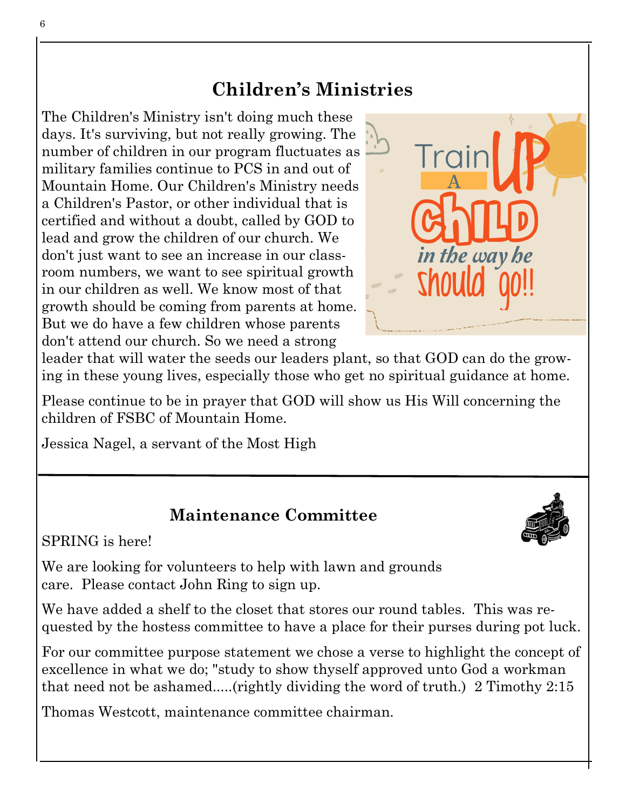## **Children's Ministries**

The Children's Ministry isn't doing much these days. It's surviving, but not really growing. The number of children in our program fluctuates as military families continue to PCS in and out of Mountain Home. Our Children's Ministry needs a Children's Pastor, or other individual that is certified and without a doubt, called by GOD to lead and grow the children of our church. We don't just want to see an increase in our classroom numbers, we want to see spiritual growth in our children as well. We know most of that growth should be coming from parents at home. But we do have a few children whose parents don't attend our church. So we need a strong



leader that will water the seeds our leaders plant, so that GOD can do the growing in these young lives, especially those who get no spiritual guidance at home.

Please continue to be in prayer that GOD will show us His Will concerning the children of FSBC of Mountain Home.

Jessica Nagel, a servant of the Most High

#### **Maintenance Committee**

SPRING is here!

We are looking for volunteers to help with lawn and grounds care. Please contact John Ring to sign up.

We have added a shelf to the closet that stores our round tables. This was requested by the hostess committee to have a place for their purses during pot luck.

For our committee purpose statement we chose a verse to highlight the concept of excellence in what we do; "study to show thyself approved unto God a workman that need not be ashamed.....(rightly dividing the word of truth.) 2 Timothy 2:15

Thomas Westcott, maintenance committee chairman.